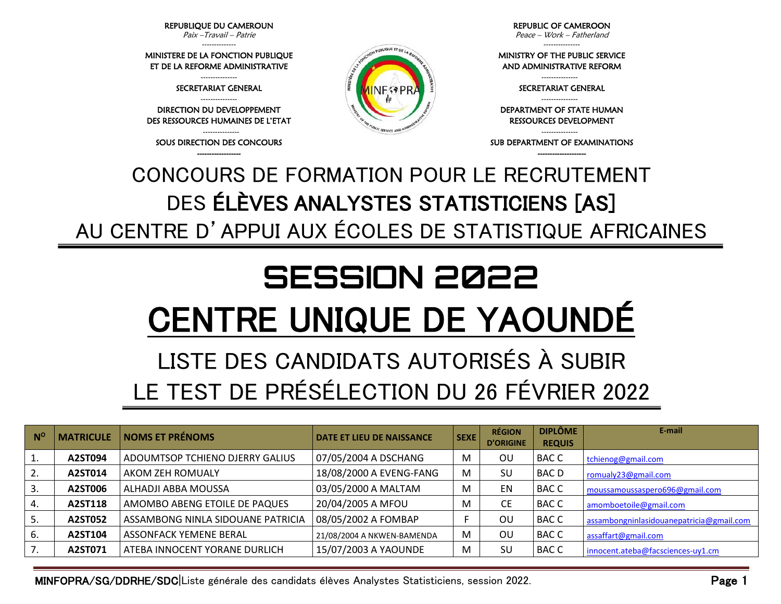MINFOPRA/SG/DDRHE/SDC|Liste générale des candidats élèves Analystes Statisticiens, session 2022. Page 1

| $N^{\circ}$ | <b>MATRICULE</b> | <b>NOMS ET PRÉNOMS</b>            | <b>DATE ET LIEU DE NAISSANCE</b> | <b>SEXE</b> | <b>RÉGION</b><br><b>D'ORIGINE</b> | <b>DIPLÔME</b><br><b>REQUIS</b> | E-mail                                   |
|-------------|------------------|-----------------------------------|----------------------------------|-------------|-----------------------------------|---------------------------------|------------------------------------------|
| 1.          | A2ST094          | ADOUMTSOP TCHIENO DJERRY GALIUS   | 07/05/2004 A DSCHANG             | M           | OU                                | <b>BACC</b>                     | tchienog@gmail.com                       |
| 2.          | A2ST014          | AKOM ZEH ROMUALY                  | 18/08/2000 A EVENG-FANG          | м           | SU                                | <b>BACD</b>                     | romualy23@gmail.com                      |
| 3.          | A2ST006          | ALHADJI ABBA MOUSSA               | 03/05/2000 A MALTAM              | M           | EN                                | <b>BACC</b>                     | moussamoussaspero696@gmail.com           |
| 4.          | A2ST118          | AMOMBO ABENG ETOILE DE PAQUES     | 20/04/2005 A MFOU                | M           | CЕ                                | <b>BACC</b>                     | amomboetoile@gmail.com                   |
| 5.          | A2ST052          | ASSAMBONG NINLA SIDOUANE PATRICIA | 08/05/2002 A FOMBAP              |             | ΟU                                | <b>BACC</b>                     | assambongninlasidouanepatricia@gmail.com |
| 6.          | A2ST104          | <b>ASSONFACK YEMENE BERAL</b>     | 21/08/2004 A NKWEN-BAMENDA       | M           | OU                                | <b>BACC</b>                     | assaffart@gmail.com                      |
| 7.          | A2ST071          | ATEBA INNOCENT YORANE DURLICH     | 15/07/2003 A YAOUNDE             | M           | SU                                | <b>BACC</b>                     | innocent.ateba@facsciences-uy1.cm        |

 **SESSION 2022**

CENTRE UNIQUE DE YAOUNDÉ

LISTE DES CANDIDATS AUTORISÉS À SUBIR

LE TEST DE PRÉSÉLECTION DU 26 FÉVRIER 2022

CONCOURS DE FORMATION POUR LE RECRUTEMENT DES ÉLÈVES ANALYSTES STATISTICIENS [AS] AU CENTRE D'APPUI AUX ÉCOLES DE STATISTIQUE AFRICAINES

PUBLIQUE ET DELA

**NESPE** 

--------------- SOUS DIRECTION DES CONCOURS ------------------

DES RESSOURCES HUMAINES DE L'ETAT

DIRECTION DU DEVELOPPEMENT

---------------

MINISTERE DE LA FONCTION PUBLIQUE ET DE LA REFORME ADMINISTRATIVE

SECRETARIAT GENERAL

REPUBLIQUE DU CAMEROUN Paix –Travail – Patrie

--------------

---------------

--------------- MINISTRY OF THE PUBLIC SERVICE

AND ADMINISTRATIVE REFORM

---------------

SECRETARIAT GENERAL

DEPARTMENT OF STATE HUMAN RESSOURCES DEVELOPMENT

--------------- SUB DEPARTMENT OF EXAMINATIONS --------------------

---------------

REPUBLIC OF CAMEROON Peace – Work – Fatherland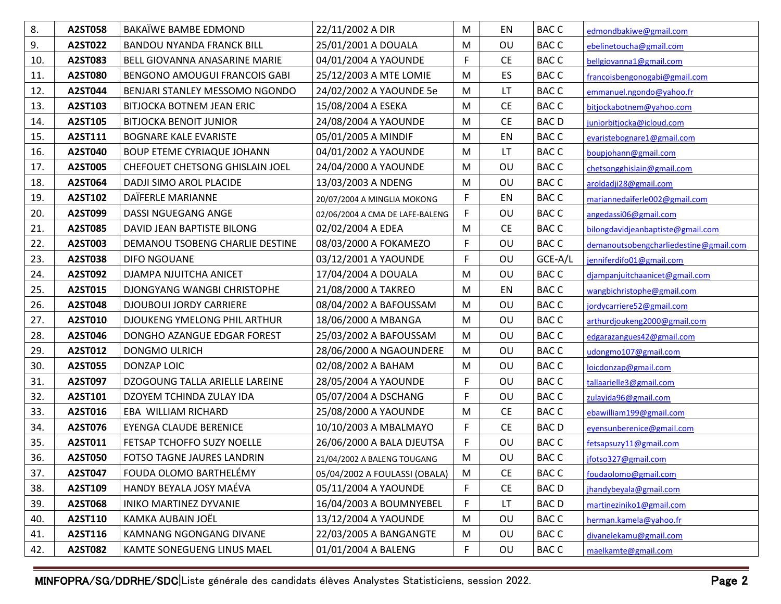| 8.  | A2ST058 | BAKAÏWE BAMBE EDMOND              | 22/11/2002 A DIR                | M | EN        | <b>BACC</b> | edmondbakiwe@gmail.com                 |
|-----|---------|-----------------------------------|---------------------------------|---|-----------|-------------|----------------------------------------|
| 9.  | A2ST022 | <b>BANDOU NYANDA FRANCK BILL</b>  | 25/01/2001 A DOUALA             | M | OU        | <b>BACC</b> | ebelinetoucha@gmail.com                |
| 10. | A2ST083 | BELL GIOVANNA ANASARINE MARIE     | 04/01/2004 A YAOUNDE            | F | <b>CE</b> | <b>BACC</b> | bellgiovanna1@gmail.com                |
| 11. | A2ST080 | BENGONO AMOUGUI FRANCOIS GABI     | 25/12/2003 A MTE LOMIE          | M | ES        | <b>BACC</b> | francoisbengonogabi@gmail.com          |
| 12. | A2ST044 | BENJARI STANLEY MESSOMO NGONDO    | 24/02/2002 A YAOUNDE 5e         | M | LT        | <b>BACC</b> | emmanuel.ngondo@yahoo.fr               |
| 13. | A2ST103 | BITJOCKA BOTNEM JEAN ERIC         | 15/08/2004 A ESEKA              | M | <b>CE</b> | <b>BACC</b> | bitjockabotnem@yahoo.com               |
| 14. | A2ST105 | <b>BITJOCKA BENOIT JUNIOR</b>     | 24/08/2004 A YAOUNDE            | M | <b>CE</b> | <b>BACD</b> | juniorbitjocka@icloud.com              |
| 15. | A2ST111 | <b>BOGNARE KALE EVARISTE</b>      | 05/01/2005 A MINDIF             | M | EN        | <b>BACC</b> | evaristebognare1@gmail.com             |
| 16. | A2ST040 | <b>BOUP ETEME CYRIAQUE JOHANN</b> | 04/01/2002 A YAOUNDE            | M | LT        | <b>BACC</b> | boupjohann@gmail.com                   |
| 17. | A2ST005 | CHEFOUET CHETSONG GHISLAIN JOEL   | 24/04/2000 A YAOUNDE            | M | OU        | <b>BACC</b> | chetsongghislain@gmail.com             |
| 18. | A2ST064 | DADJI SIMO AROL PLACIDE           | 13/03/2003 A NDENG              | M | OU        | <b>BACC</b> | aroldadji28@gmail.com                  |
| 19. | A2ST102 | DAÏFERLE MARIANNE                 | 20/07/2004 A MINGLIA MOKONG     | F | EN        | <b>BACC</b> | mariannedaïferle002@gmail.com          |
| 20. | A2ST099 | DASSI NGUEGANG ANGE               | 02/06/2004 A CMA DE LAFE-BALENG | F | OU        | <b>BACC</b> | angedassi06@gmail.com                  |
| 21. | A2ST085 | DAVID JEAN BAPTISTE BILONG        | 02/02/2004 A EDEA               | M | <b>CE</b> | <b>BACC</b> | bilongdavidjeanbaptiste@gmail.com      |
| 22. | A2ST003 | DEMANOU TSOBENG CHARLIE DESTINE   | 08/03/2000 A FOKAMEZO           | F | OU        | <b>BACC</b> | demanoutsobengcharliedestine@gmail.com |
| 23. | A2ST038 | DIFO NGOUANE                      | 03/12/2001 A YAOUNDE            | F | OU        | GCE-A/L     | jenniferdifo01@gmail.com               |
| 24. | A2ST092 | DJAMPA NJUITCHA ANICET            | 17/04/2004 A DOUALA             | M | OU        | <b>BACC</b> | djampanjuitchaanicet@gmail.com         |
| 25. | A2ST015 | DJONGYANG WANGBI CHRISTOPHE       | 21/08/2000 A TAKREO             | M | EN        | <b>BACC</b> | wangbichristophe@gmail.com             |
| 26. | A2ST048 | <b>DJOUBOUI JORDY CARRIERE</b>    | 08/04/2002 A BAFOUSSAM          | M | OU        | <b>BACC</b> | jordycarriere52@gmail.com              |
| 27. | A2ST010 | DJOUKENG YMELONG PHIL ARTHUR      | 18/06/2000 A MBANGA             | M | OU        | <b>BACC</b> | arthurdjoukeng2000@gmail.com           |
| 28. | A2ST046 | DONGHO AZANGUE EDGAR FOREST       | 25/03/2002 A BAFOUSSAM          | M | OU        | <b>BACC</b> | edgarazangues42@gmail.com              |
| 29. | A2ST012 | DONGMO ULRICH                     | 28/06/2000 A NGAOUNDERE         | M | OU        | <b>BACC</b> | udongmo107@gmail.com                   |
| 30. | A2ST055 | DONZAP LOIC                       | 02/08/2002 A BAHAM              | M | OU        | <b>BACC</b> | loicdonzap@gmail.com                   |
| 31. | A2ST097 | DZOGOUNG TALLA ARIELLE LAREINE    | 28/05/2004 A YAOUNDE            | F | OU        | <b>BACC</b> | tallaarielle3@gmail.com                |
| 32. | A2ST101 | DZOYEM TCHINDA ZULAY IDA          | 05/07/2004 A DSCHANG            | F | OU        | <b>BACC</b> | zulayida96@gmail.com                   |
| 33. | A2ST016 | EBA WILLIAM RICHARD               | 25/08/2000 A YAOUNDE            | M | <b>CE</b> | <b>BACC</b> | ebawilliam199@gmail.com                |
| 34. | A2ST076 | <b>EYENGA CLAUDE BERENICE</b>     | 10/10/2003 A MBALMAYO           | F | <b>CE</b> | <b>BACD</b> | eyensunberenice@gmail.com              |
| 35. | A2ST011 | FETSAP TCHOFFO SUZY NOELLE        | 26/06/2000 A BALA DJEUTSA       | F | OU        | <b>BACC</b> | fetsapsuzy11@gmail.com                 |
| 36. | A2ST050 | FOTSO TAGNE JAURES LANDRIN        | 21/04/2002 A BALENG TOUGANG     | M | OU        | <b>BACC</b> | jfotso327@gmail.com                    |
| 37. | A2ST047 | FOUDA OLOMO BARTHELÉMY            | 05/04/2002 A FOULASSI (OBALA)   | M | <b>CE</b> | <b>BACC</b> | foudaolomo@gmail.com                   |
| 38. | A2ST109 | HANDY BEYALA JOSY MAÉVA           | 05/11/2004 A YAOUNDE            | F | <b>CE</b> | <b>BACD</b> | jhandybeyala@gmail.com                 |
| 39. | A2ST068 | <b>INIKO MARTINEZ DYVANIE</b>     | 16/04/2003 A BOUMNYEBEL         | F | LT.       | <b>BACD</b> | martineziniko1@gmail.com               |
| 40. | A2ST110 | KAMKA AUBAIN JOËL                 | 13/12/2004 A YAOUNDE            | M | OU        | <b>BACC</b> | herman.kamela@yahoo.fr                 |
| 41. | A2ST116 | KAMNANG NGONGANG DIVANE           | 22/03/2005 A BANGANGTE          | M | OU        | <b>BACC</b> | divanelekamu@gmail.com                 |
| 42. | A2ST082 | KAMTE SONEGUENG LINUS MAEL        | 01/01/2004 A BALENG             | F | OU        | <b>BACC</b> | maelkamte@gmail.com                    |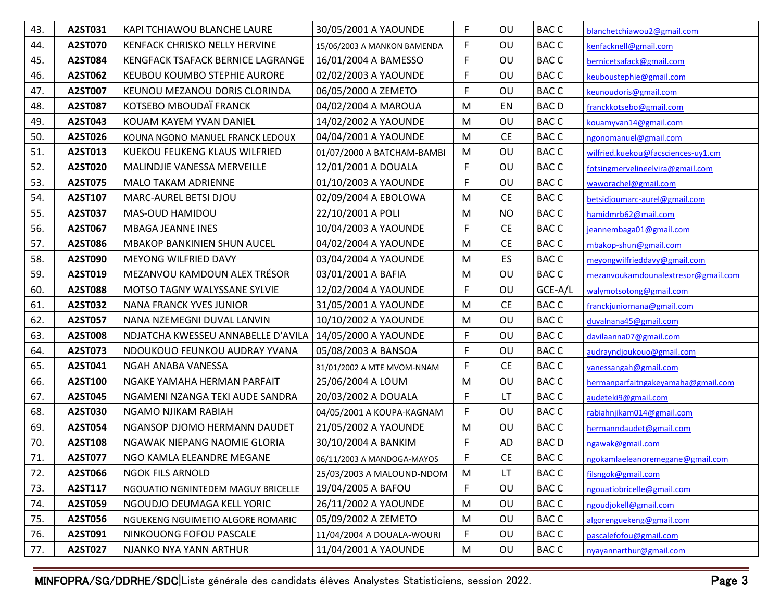| 43. | A2ST031        | KAPI TCHIAWOU BLANCHE LAURE          | 30/05/2001 A YAOUNDE        | $\mathsf F$ | OU        | <b>BACC</b> | blanchetchiawou2@gmail.com          |
|-----|----------------|--------------------------------------|-----------------------------|-------------|-----------|-------------|-------------------------------------|
| 44. | A2ST070        | KENFACK CHRISKO NELLY HERVINE        | 15/06/2003 A MANKON BAMENDA | F           | OU        | <b>BACC</b> | kenfacknell@gmail.com               |
| 45. | A2ST084        | KENGFACK TSAFACK BERNICE LAGRANGE    | 16/01/2004 A BAMESSO        | $\mathsf F$ | OU        | <b>BACC</b> | bernicetsafack@gmail.com            |
| 46. | A2ST062        | KEUBOU KOUMBO STEPHIE AURORE         | 02/02/2003 A YAOUNDE        | F           | OU        | <b>BACC</b> | keuboustephie@gmail.com             |
| 47. | A2ST007        | KEUNOU MEZANOU DORIS CLORINDA        | 06/05/2000 A ZEMETO         | F           | OU        | <b>BACC</b> | keunoudoris@gmail.com               |
| 48. | A2ST087        | KOTSEBO MBOUDAÏ FRANCK               | 04/02/2004 A MAROUA         | M           | EN        | <b>BACD</b> | franckkotsebo@gmail.com             |
| 49. | A2ST043        | KOUAM KAYEM YVAN DANIEL              | 14/02/2002 A YAOUNDE        | M           | OU        | <b>BACC</b> | kouamyvan14@gmail.com               |
| 50. | A2ST026        | KOUNA NGONO MANUEL FRANCK LEDOUX     | 04/04/2001 A YAOUNDE        | M           | <b>CE</b> | <b>BACC</b> | ngonomanuel@gmail.com               |
| 51. | A2ST013        | <b>KUEKOU FEUKENG KLAUS WILFRIED</b> | 01/07/2000 A BATCHAM-BAMBI  | M           | OU        | <b>BACC</b> | wilfried.kuekou@facsciences-uy1.cm  |
| 52. | A2ST020        | MALINDJIE VANESSA MERVEILLE          | 12/01/2001 A DOUALA         | $\mathsf F$ | OU        | <b>BACC</b> | fotsingmervelineelvira@gmail.com    |
| 53. | A2ST075        | <b>MALO TAKAM ADRIENNE</b>           | 01/10/2003 A YAOUNDE        | F           | OU        | <b>BACC</b> | waworachel@gmail.com                |
| 54. | A2ST107        | MARC-AUREL BETSI DJOU                | 02/09/2004 A EBOLOWA        | M           | <b>CE</b> | <b>BACC</b> | betsidjoumarc-aurel@gmail.com       |
| 55. | A2ST037        | MAS-OUD HAMIDOU                      | 22/10/2001 A POLI           | M           | <b>NO</b> | <b>BACC</b> | hamidmrb62@mail.com                 |
| 56. | A2ST067        | <b>MBAGA JEANNE INES</b>             | 10/04/2003 A YAOUNDE        | F           | <b>CE</b> | <b>BACC</b> | jeannembaga01@gmail.com             |
| 57. | A2ST086        | <b>MBAKOP BANKINIEN SHUN AUCEL</b>   | 04/02/2004 A YAOUNDE        | M           | <b>CE</b> | <b>BACC</b> | mbakop-shun@gmail.com               |
| 58. | A2ST090        | MEYONG WILFRIED DAVY                 | 03/04/2004 A YAOUNDE        | M           | ES        | <b>BACC</b> | meyongwilfrieddavy@gmail.com        |
| 59. | A2ST019        | MEZANVOU KAMDOUN ALEX TRÉSOR         | 03/01/2001 A BAFIA          | M           | OU        | <b>BACC</b> | mezanvoukamdounalextresor@gmail.com |
| 60. | <b>A2ST088</b> | MOTSO TAGNY WALYSSANE SYLVIE         | 12/02/2004 A YAOUNDE        | F           | OU        | GCE-A/L     | walymotsotong@gmail.com             |
| 61. | A2ST032        | <b>NANA FRANCK YVES JUNIOR</b>       | 31/05/2001 A YAOUNDE        | M           | <b>CE</b> | <b>BACC</b> | franckjuniornana@gmail.com          |
| 62. | A2ST057        | NANA NZEMEGNI DUVAL LANVIN           | 10/10/2002 A YAOUNDE        | M           | OU        | <b>BACC</b> | duvalnana45@gmail.com               |
| 63. | A2ST008        | NDJATCHA KWESSEU ANNABELLE D'AVILA   | 14/05/2000 A YAOUNDE        | $\mathsf F$ | OU        | <b>BACC</b> | davilaanna07@gmail.com              |
| 64. | A2ST073        | NDOUKOUO FEUNKOU AUDRAY YVANA        | 05/08/2003 A BANSOA         | $\mathsf F$ | OU        | <b>BACC</b> | audrayndjoukouo@gmail.com           |
| 65. | A2ST041        | NGAH ANABA VANESSA                   | 31/01/2002 A MTE MVOM-NNAM  | F           | <b>CE</b> | <b>BACC</b> | vanessangah@gmail.com               |
| 66. | A2ST100        | NGAKE YAMAHA HERMAN PARFAIT          | 25/06/2004 A LOUM           | M           | OU        | <b>BACC</b> | hermanparfaitngakeyamaha@gmail.com  |
| 67. | A2ST045        | NGAMENI NZANGA TEKI AUDE SANDRA      | 20/03/2002 A DOUALA         | F           | LT.       | <b>BACC</b> | audeteki9@gmail.com                 |
| 68. | A2ST030        | NGAMO NJIKAM RABIAH                  | 04/05/2001 A KOUPA-KAGNAM   | F           | OU        | <b>BACC</b> | rabiahnjikam014@gmail.com           |
| 69. | A2ST054        | NGANSOP DJOMO HERMANN DAUDET         | 21/05/2002 A YAOUNDE        | M           | OU        | <b>BACC</b> | hermanndaudet@gmail.com             |
| 70. | A2ST108        | NGAWAK NIEPANG NAOMIE GLORIA         | 30/10/2004 A BANKIM         | F           | <b>AD</b> | <b>BACD</b> | ngawak@gmail.com                    |
| 71. | A2ST077        | NGO KAMLA ELEANDRE MEGANE            | 06/11/2003 A MANDOGA-MAYOS  | F           | <b>CE</b> | <b>BACC</b> | ngokamlaeleanoremegane@gmail.com    |
| 72. | A2ST066        | <b>NGOK FILS ARNOLD</b>              | 25/03/2003 A MALOUND-NDOM   | M           | LT        | <b>BACC</b> | filsngok@gmail.com                  |
| 73. | A2ST117        | NGOUATIO NGNINTEDEM MAGUY BRICELLE   | 19/04/2005 A BAFOU          | F           | OU        | <b>BACC</b> | ngouatiobricelle@gmail.com          |
| 74. | A2ST059        | NGOUDJO DEUMAGA KELL YORIC           | 26/11/2002 A YAOUNDE        | M           | OU        | <b>BACC</b> | ngoudjokell@gmail.com               |
| 75. | A2ST056        | NGUEKENG NGUIMETIO ALGORE ROMARIC    | 05/09/2002 A ZEMETO         | M           | OU        | <b>BACC</b> | algorenguekeng@gmail.com            |
| 76. | A2ST091        | NINKOUONG FOFOU PASCALE              | 11/04/2004 A DOUALA-WOURI   | $\mathsf F$ | OU        | <b>BACC</b> | pascalefofou@gmail.com              |
| 77. | A2ST027        | NJANKO NYA YANN ARTHUR               | 11/04/2001 A YAOUNDE        | M           | OU        | <b>BACC</b> | nyayannarthur@gmail.com             |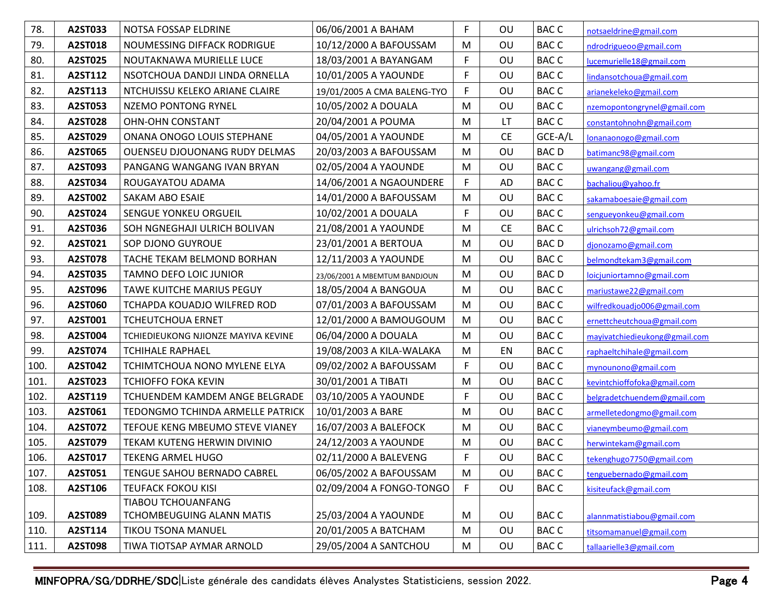| 78.  | A2ST033 | NOTSA FOSSAP ELDRINE                 | 06/06/2001 A BAHAM            | F            | OU        | <b>BACC</b> | notsaeldrine@gmail.com        |
|------|---------|--------------------------------------|-------------------------------|--------------|-----------|-------------|-------------------------------|
| 79.  | A2ST018 | NOUMESSING DIFFACK RODRIGUE          | 10/12/2000 A BAFOUSSAM        | M            | OU        | <b>BACC</b> | ndrodrigueoo@gmail.com        |
| 80.  | A2ST025 | NOUTAKNAWA MURIELLE LUCE             | 18/03/2001 A BAYANGAM         | $\mathsf F$  | OU        | <b>BACC</b> | lucemurielle18@gmail.com      |
| 81.  | A2ST112 | NSOTCHOUA DANDJI LINDA ORNELLA       | 10/01/2005 A YAOUNDE          | $\mathsf{F}$ | OU        | <b>BACC</b> | lindansotchoua@gmail.com      |
| 82.  | A2ST113 | NTCHUISSU KELEKO ARIANE CLAIRE       | 19/01/2005 A CMA BALENG-TYO   | F            | OU        | <b>BACC</b> | arianekeleko@gmail.com        |
| 83.  | A2ST053 | NZEMO PONTONG RYNEL                  | 10/05/2002 A DOUALA           | M            | OU        | <b>BACC</b> | nzemopontongrynel@gmail.com   |
| 84.  | A2ST028 | <b>OHN-OHN CONSTANT</b>              | 20/04/2001 A POUMA            | M            | LT.       | <b>BACC</b> | constantohnohn@gmail.com      |
| 85.  | A2ST029 | ONANA ONOGO LOUIS STEPHANE           | 04/05/2001 A YAOUNDE          | M            | <b>CE</b> | GCE-A/L     | lonanaonogo@gmail.com         |
| 86.  | A2ST065 | <b>OUENSEU DJOUONANG RUDY DELMAS</b> | 20/03/2003 A BAFOUSSAM        | M            | OU        | <b>BACD</b> | batimanc98@gmail.com          |
| 87.  | A2ST093 | PANGANG WANGANG IVAN BRYAN           | 02/05/2004 A YAOUNDE          | M            | OU        | <b>BACC</b> | uwangang@gmail.com            |
| 88.  | A2ST034 | ROUGAYATOU ADAMA                     | 14/06/2001 A NGAOUNDERE       | F            | AD        | <b>BACC</b> | bachaliou@yahoo.fr            |
| 89.  | A2ST002 | SAKAM ABO ESAIE                      | 14/01/2000 A BAFOUSSAM        | M            | OU        | <b>BACC</b> | sakamaboesaie@gmail.com       |
| 90.  | A2ST024 | SENGUE YONKEU ORGUEIL                | 10/02/2001 A DOUALA           | F            | OU        | <b>BACC</b> | sengueyonkeu@gmail.com        |
| 91.  | A2ST036 | SOH NGNEGHAJI ULRICH BOLIVAN         | 21/08/2001 A YAOUNDE          | M            | <b>CE</b> | <b>BACC</b> | ulrichsoh72@gmail.com         |
| 92.  | A2ST021 | SOP DJONO GUYROUE                    | 23/01/2001 A BERTOUA          | M            | OU        | <b>BACD</b> | djonozamo@gmail.com           |
| 93.  | A2ST078 | TACHE TEKAM BELMOND BORHAN           | 12/11/2003 A YAOUNDE          | M            | OU        | <b>BACC</b> | belmondtekam3@gmail.com       |
| 94.  | A2ST035 | TAMNO DEFO LOIC JUNIOR               | 23/06/2001 A MBEMTUM BANDJOUN | M            | OU        | <b>BACD</b> | loicjuniortamno@gmail.com     |
| 95.  | A2ST096 | TAWE KUITCHE MARIUS PEGUY            | 18/05/2004 A BANGOUA          | M            | OU        | <b>BACC</b> | mariustawe22@gmail.com        |
| 96.  | A2ST060 | TCHAPDA KOUADJO WILFRED ROD          | 07/01/2003 A BAFOUSSAM        | M            | OU        | <b>BACC</b> | wilfredkouadjo006@gmail.com   |
| 97.  | A2ST001 | <b>TCHEUTCHOUA ERNET</b>             | 12/01/2000 A BAMOUGOUM        | M            | OU        | <b>BACC</b> | ernettcheutchoua@gmail.com    |
| 98.  | A2ST004 | TCHIEDIEUKONG NJIONZE MAYIVA KEVINE  | 06/04/2000 A DOUALA           | M            | OU        | <b>BACC</b> | mayivatchiedieukong@gmail.com |
| 99.  | A2ST074 | <b>TCHIHALE RAPHAEL</b>              | 19/08/2003 A KILA-WALAKA      | M            | EN        | <b>BACC</b> | raphaeltchihale@gmail.com     |
| 100. | A2ST042 | TCHIMTCHOUA NONO MYLENE ELYA         | 09/02/2002 A BAFOUSSAM        | F            | OU        | <b>BACC</b> | mynounono@gmail.com           |
| 101. | A2ST023 | <b>TCHIOFFO FOKA KEVIN</b>           | 30/01/2001 A TIBATI           | M            | OU        | <b>BACC</b> | kevintchioffofoka@gmail.com   |
| 102. | A2ST119 | TCHUENDEM KAMDEM ANGE BELGRADE       | 03/10/2005 A YAOUNDE          | F            | OU        | <b>BACC</b> | belgradetchuendem@gmail.com   |
| 103. | A2ST061 | TEDONGMO TCHINDA ARMELLE PATRICK     | 10/01/2003 A BARE             | M            | OU        | <b>BACC</b> | armelletedongmo@gmail.com     |
| 104. | A2ST072 | TEFOUE KENG MBEUMO STEVE VIANEY      | 16/07/2003 A BALEFOCK         | M            | OU        | <b>BACC</b> | vianeymbeumo@gmail.com        |
| 105. | A2ST079 | TEKAM KUTENG HERWIN DIVINIO          | 24/12/2003 A YAOUNDE          | M            | OU        | <b>BACC</b> | herwintekam@gmail.com         |
| 106. | A2ST017 | TEKENG ARMEL HUGO                    | 02/11/2000 A BALEVENG         | F            | OU        | <b>BACC</b> | tekenghugo7750@gmail.com      |
| 107. | A2ST051 | TENGUE SAHOU BERNADO CABREL          | 06/05/2002 A BAFOUSSAM        | M            | OU        | <b>BACC</b> | tenguebernado@gmail.com       |
| 108. | A2ST106 | TEUFACK FOKOU KISI                   | 02/09/2004 A FONGO-TONGO      | F            | OU        | <b>BACC</b> | kisiteufack@gmail.com         |
|      |         | <b>TIABOU TCHOUANFANG</b>            |                               |              |           |             |                               |
| 109. | A2ST089 | TCHOMBEUGUING ALANN MATIS            | 25/03/2004 A YAOUNDE          | M            | OU        | <b>BACC</b> | alannmatistiabou@gmail.com    |
| 110. | A2ST114 | <b>TIKOU TSONA MANUEL</b>            | 20/01/2005 A BATCHAM          | M            | OU        | <b>BACC</b> | titsomamanuel@gmail.com       |
| 111. | A2ST098 | TIWA TIOTSAP AYMAR ARNOLD            | 29/05/2004 A SANTCHOU         | M            | OU        | <b>BACC</b> | tallaarielle3@gmail.com       |